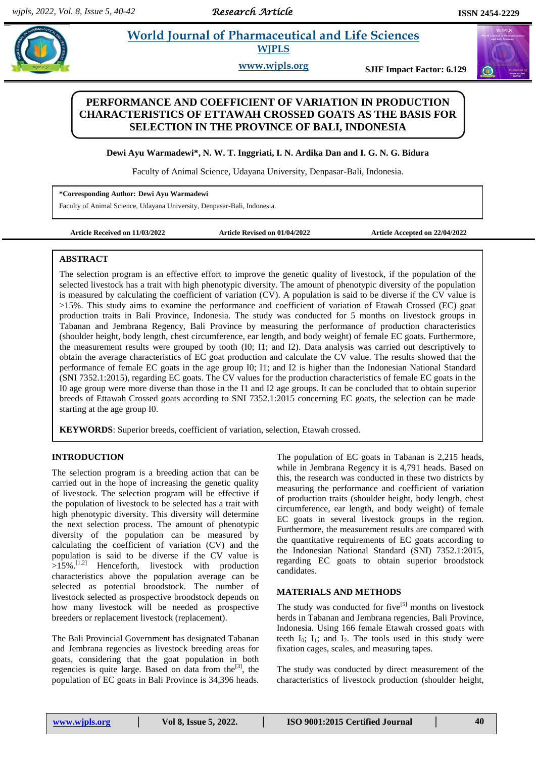## **Paramademical and Life Sciences WJPLS**

**www.wjpls.org SJIF Impact Factor: 6.129**

# **PERFORMANCE AND COEFFICIENT OF VARIATION IN PRODUCTION CHARACTERISTICS OF ETTAWAH CROSSED GOATS AS THE BASIS FOR SELECTION IN THE PROVINCE OF BALI, INDONESIA**

**Dewi Ayu Warmadewi\*, N. W. T. Inggriati, I. N. Ardika Dan and I. G. N. G. Bidura**

Faculty of Animal Science, Udayana University, Denpasar-Bali, Indonesia.

**\*Corresponding Author: Dewi Ayu Warmadewi**

Faculty of Animal Science, Udayana University, Denpasar-Bali, Indonesia.

**Article Received on 11/03/2022 Article Revised on 01/04/2022 Article Accepted on 22/04/2022**

#### **ABSTRACT**

The selection program is an effective effort to improve the genetic quality of livestock, if the population of the selected livestock has a trait with high phenotypic diversity. The amount of phenotypic diversity of the population is measured by calculating the coefficient of variation (CV). A population is said to be diverse if the CV value is >15%. This study aims to examine the performance and coefficient of variation of Etawah Crossed (EC) goat production traits in Bali Province, Indonesia. The study was conducted for 5 months on livestock groups in Tabanan and Jembrana Regency, Bali Province by measuring the performance of production characteristics (shoulder height, body length, chest circumference, ear length, and body weight) of female EC goats. Furthermore, the measurement results were grouped by tooth (I0; I1; and I2). Data analysis was carried out descriptively to obtain the average characteristics of EC goat production and calculate the CV value. The results showed that the performance of female EC goats in the age group I0; I1; and I2 is higher than the Indonesian National Standard (SNI 7352.1:2015), regarding EC goats. The CV values for the production characteristics of female EC goats in the I0 age group were more diverse than those in the I1 and I2 age groups. It can be concluded that to obtain superior breeds of Ettawah Crossed goats according to SNI 7352.1:2015 concerning EC goats, the selection can be made starting at the age group I0.

**KEYWORDS**: Superior breeds, coefficient of variation, selection, Etawah crossed.

### **INTRODUCTION**

The selection program is a breeding action that can be carried out in the hope of increasing the genetic quality of livestock. The selection program will be effective if the population of livestock to be selected has a trait with high phenotypic diversity. This diversity will determine the next selection process. The amount of phenotypic diversity of the population can be measured by calculating the coefficient of variation (CV) and the population is said to be diverse if the CV value is  $>15\%$ .<sup>[1,2]</sup> Henceforth, livestock with production characteristics above the population average can be selected as potential broodstock. The number of livestock selected as prospective broodstock depends on how many livestock will be needed as prospective breeders or replacement livestock (replacement).

The Bali Provincial Government has designated Tabanan and Jembrana regencies as livestock breeding areas for goats, considering that the goat population in both regencies is quite large. Based on data from the<sup>[3]</sup>, the population of EC goats in Bali Province is 34,396 heads.

The population of EC goats in Tabanan is 2,215 heads, while in Jembrana Regency it is 4,791 heads. Based on this, the research was conducted in these two districts by measuring the performance and coefficient of variation of production traits (shoulder height, body length, chest circumference, ear length, and body weight) of female EC goats in several livestock groups in the region. Furthermore, the measurement results are compared with the quantitative requirements of EC goats according to the Indonesian National Standard (SNI) 7352.1:2015, regarding EC goats to obtain superior broodstock candidates.

#### **MATERIALS AND METHODS**

The study was conducted for five<sup>[5]</sup> months on livestock herds in Tabanan and Jembrana regencies, Bali Province, Indonesia. Using 166 female Etawah crossed goats with teeth  $I_0$ ;  $I_1$ ; and  $I_2$ . The tools used in this study were fixation cages, scales, and measuring tapes.

The study was conducted by direct measurement of the characteristics of livestock production (shoulder height,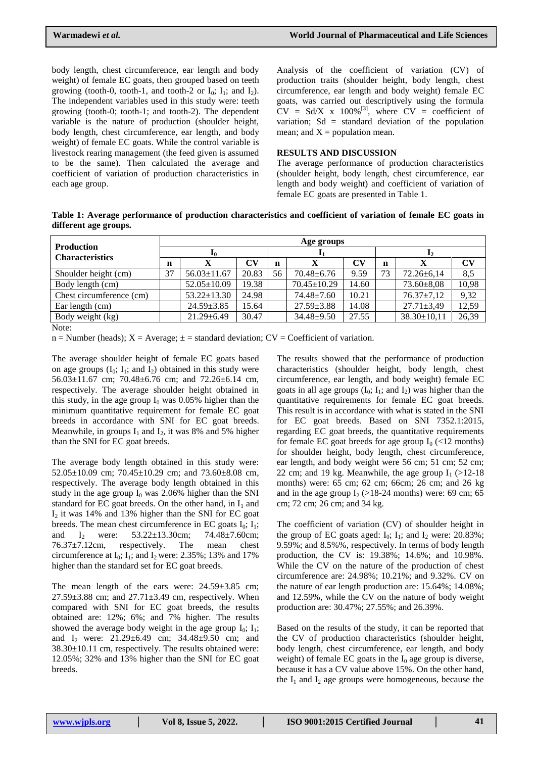body length, chest circumference, ear length and body weight) of female EC goats, then grouped based on teeth growing (tooth-0, tooth-1, and tooth-2 or  $I_0$ ;  $I_1$ ; and  $I_2$ ). The independent variables used in this study were: teeth growing (tooth-0; tooth-1; and tooth-2). The dependent variable is the nature of production (shoulder height, body length, chest circumference, ear length, and body weight) of female EC goats. While the control variable is livestock rearing management (the feed given is assumed to be the same). Then calculated the average and coefficient of variation of production characteristics in each age group.

Analysis of the coefficient of variation (CV) of production traits (shoulder height, body length, chest circumference, ear length and body weight) female EC goats, was carried out descriptively using the formula  $CV = Sd/X$  x 100%<sup>[3]</sup>, where  $CV = \text{coefficient of}$ variation; Sd = standard deviation of the population mean; and  $X =$  population mean.

#### **RESULTS AND DISCUSSION**

The average performance of production characteristics (shoulder height, body length, chest circumference, ear length and body weight) and coefficient of variation of female EC goats are presented in Table 1.

**Table 1: Average performance of production characteristics and coefficient of variation of female EC goats in different age groups.**

| <b>Production</b><br><b>Characteristics</b> | Age groups |                   |       |             |                   |           |    |                   |           |
|---------------------------------------------|------------|-------------------|-------|-------------|-------------------|-----------|----|-------------------|-----------|
|                                             | 10         |                   |       | -41         |                   |           | 12 |                   |           |
|                                             | n          | X                 | CV    | $\mathbf n$ |                   | $\bf{CV}$ | n  | X                 | $\bf{CV}$ |
| Shoulder height (cm)                        | 37         | $56.03 \pm 11.67$ | 20.83 | 56          | $70.48 \pm 6.76$  | 9.59      | 73 | $72.26 \pm 6.14$  | 8,5       |
| Body length (cm)                            |            | $52.05 \pm 10.09$ | 19.38 |             | $70.45 \pm 10.29$ | 14.60     |    | $73.60 \pm 8.08$  | 10,98     |
| Chest circumference (cm)                    |            | $53.22 \pm 13.30$ | 24.98 |             | 74.48±7.60        | 10.21     |    | $76.37 \pm 7.12$  | 9,32      |
| Ear length (cm)                             |            | $24.59 \pm 3.85$  | 15.64 |             | $27.59 \pm 3.88$  | 14.08     |    | $27.71 \pm 3.49$  | 12,59     |
| Body weight (kg)                            |            | $21.29 \pm 6.49$  | 30.47 |             | $34.48 \pm 9.50$  | 27.55     |    | $38.30 \pm 10,11$ | 26,39     |
| $\mathbf{M}$                                |            |                   |       |             |                   |           |    |                   |           |

Note:

 $n =$  Number (heads);  $X =$  Average;  $\pm$  = standard deviation; CV = Coefficient of variation.

The average shoulder height of female EC goats based on age groups  $(I_0; I_1;$  and  $I_2$ ) obtained in this study were 56.03±11.67 cm; 70.48±6.76 cm; and 72.26±6.14 cm, respectively. The average shoulder height obtained in this study, in the age group  $I_0$  was 0.05% higher than the minimum quantitative requirement for female EC goat breeds in accordance with SNI for EC goat breeds. Meanwhile, in groups  $I_1$  and  $I_2$ , it was 8% and 5% higher than the SNI for EC goat breeds.

The average body length obtained in this study were:  $52.05\pm10.09$  cm;  $70.45\pm10.29$  cm; and  $73.60\pm8.08$  cm, respectively. The average body length obtained in this study in the age group  $I_0$  was 2.06% higher than the SNI standard for EC goat breeds. On the other hand, in  $I_1$  and  $I_2$  it was 14% and 13% higher than the SNI for EC goat breeds. The mean chest circumference in EC goats  $I_0$ ;  $I_1$ ; and  $I_2$  were: 53.22 $\pm$ 13.30cm; 74.48 $\pm$ 7.60cm; 76.37±7.12cm, respectively. The mean chest circumference at  $I_0$ ;  $I_1$ ; and  $I_2$  were: 2.35%; 13% and 17% higher than the standard set for EC goat breeds.

The mean length of the ears were:  $24.59 \pm 3.85$  cm;  $27.59\pm3.88$  cm; and  $27.71\pm3.49$  cm, respectively. When compared with SNI for EC goat breeds, the results obtained are: 12%; 6%; and 7% higher. The results showed the average body weight in the age group  $I_0$ ;  $I_1$ ; and  $I_2$  were: 21.29 $\pm$ 6.49 cm; 34.48 $\pm$ 9.50 cm; and 38.30±10.11 cm, respectively. The results obtained were: 12.05%; 32% and 13% higher than the SNI for EC goat breeds.

The results showed that the performance of production characteristics (shoulder height, body length, chest circumference, ear length, and body weight) female EC goats in all age groups  $(I_0; I_1;$  and  $I_2$ ) was higher than the quantitative requirements for female EC goat breeds. This result is in accordance with what is stated in the SNI for EC goat breeds. Based on SNI 7352.1:2015, regarding EC goat breeds, the quantitative requirements for female EC goat breeds for age group  $I_0$  (<12 months) for shoulder height, body length, chest circumference, ear length, and body weight were 56 cm; 51 cm; 52 cm; 22 cm; and 19 kg. Meanwhile, the age group  $I_1$  (>12-18) months) were: 65 cm; 62 cm; 66cm; 26 cm; and 26 kg and in the age group  $I_2$  (>18-24 months) were: 69 cm; 65 cm; 72 cm; 26 cm; and 34 kg.

The coefficient of variation (CV) of shoulder height in the group of EC goats aged:  $I_0$ ;  $I_1$ ; and  $I_2$  were: 20.83%; 9.59%; and 8.5%%, respectively. In terms of body length production, the CV is: 19.38%; 14.6%; and 10.98%. While the CV on the nature of the production of chest circumference are: 24.98%; 10.21%; and 9.32%. CV on the nature of ear length production are: 15.64%; 14.08%; and 12.59%, while the CV on the nature of body weight production are: 30.47%; 27.55%; and 26.39%.

Based on the results of the study, it can be reported that the CV of production characteristics (shoulder height, body length, chest circumference, ear length, and body weight) of female EC goats in the  $I_0$  age group is diverse, because it has a CV value above 15%. On the other hand, the  $I_1$  and  $I_2$  age groups were homogeneous, because the